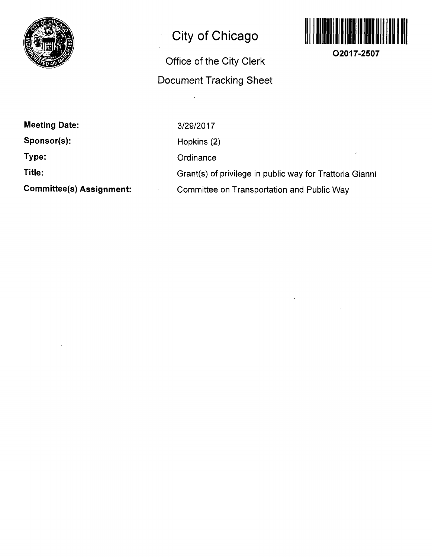

# **City of Chicago**

# **Office of the City Clerk Document Tracking Sheet**



**O2017-2507** 

**Meeting Date:** 

**Sponsor(s):** 

**Type:** 

**Title:** 

**Committee(s) Assignment:** 

3/29/2017 Hopkins (2) **Ordinance** Grant(s) of privilege in public way for Trattoria Gianni Committee on Transportation and Public Way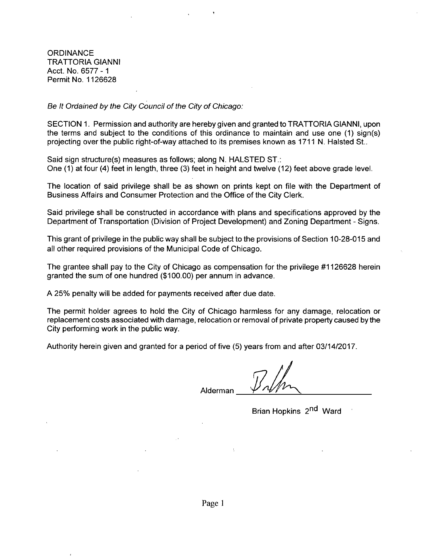**ORDINANCE** TRATTORIA GIANNI Acct. No. 6577 -1 Permit No. 1126628

Be It Ordained by the City Council of the City of Chicago:

SECTION 1. Permission and authority are hereby given and granted to TRATTORIA GIANNI, upon the terms and subject to the conditions of this ordinance to maintain and use one (1) sign(s) projecting over the public right-of-way attached to its premises known as 1711 N. Halsted St..

Said sign structure(s) measures as follows; along N. HALSTED ST.: One (1) at four (4) feet in length, three (3) feet in height and twelve (12) feet above grade level.

The location of said privilege shall be as shown on prints kept on file with the Department of Business Affairs and Consumer Protection and the Office of the City Clerk.

Said privilege shall be constructed in accordance with plans and specifications approved by the Department of Transportation (Division of Project Development) and Zoning Department - Signs.

This grant of privilege in the public way shall be subject to the provisions of Section 10-28-015 and all other required provisions of the Municipal Code of Chicago.

The grantee shall pay to the City of Chicago as compensation for the privilege #1126628 herein granted the sum of one hundred (\$100.00) per annum in advance.

A 25% penalty will be added for payments received after due date.

The permit holder agrees to hold the City of Chicago harmless for any damage, relocation or replacement costs associated with damage, relocation or removal of private property caused bythe City performing work in the public way.

Authority herein given and granted for a period offive (5) years from and after 03/14/2017.

Alderman

Brian Hopkins 2<sup>nd</sup> Ward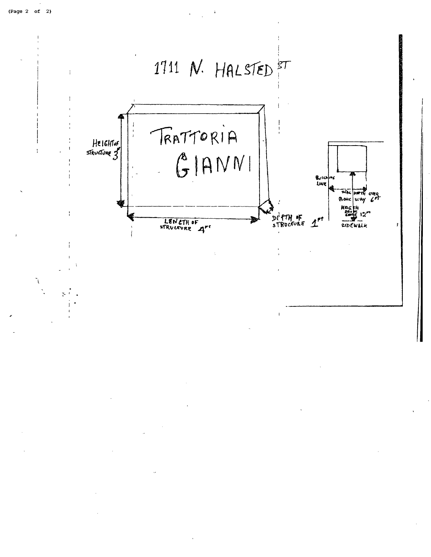